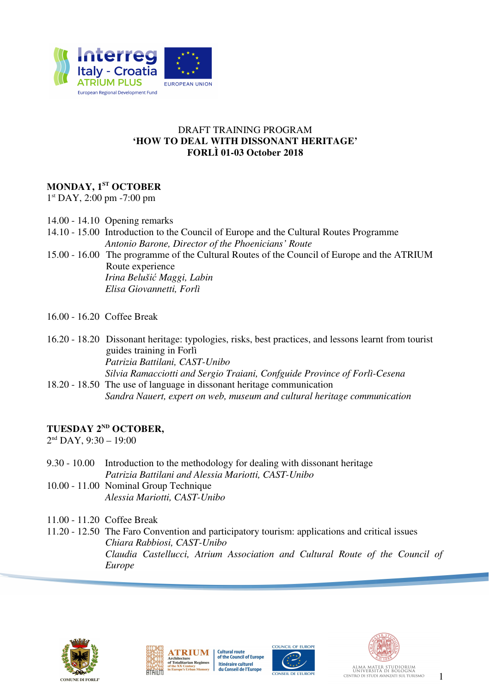

## DRAFT TRAINING PROGRAM **'HOW TO DEAL WITH DISSONANT HERITAGE' FORLÌ 01-03 October 2018**

## **MONDAY, 1ST OCTOBER**

1 st DAY, 2:00 pm -7:00 pm

- 14.00 14.10 Opening remarks
- 14.10 15.00 Introduction to the Council of Europe and the Cultural Routes Programme *Antonio Barone, Director of the Phoenicians' Route*
- 15.00 16.00 The programme of the Cultural Routes of the Council of Europe and the ATRIUM Route experience *Irina Belušić Maggi, Labin Elisa Giovannetti, Forlì*
- 16.00 16.20 Coffee Break
- 16.20 18.20 Dissonant heritage: typologies, risks, best practices, and lessons learnt from tourist guides training in Forlì *Patrizia Battilani, CAST-Unibo Silvia Ramacciotti and Sergio Traiani, Confguide Province of Forlì-Cesena*
- 18.20 18.50 The use of language in dissonant heritage communication *Sandra Nauert, expert on web, museum and cultural heritage communication*

## **TUESDAY 2ND OCTOBER,**

2 nd DAY, 9:30 – 19:00

- 9.30 10.00 Introduction to the methodology for dealing with dissonant heritage *Patrizia Battilani and Alessia Mariotti, CAST-Unibo* 10.00 - 11.00 Nominal Group Technique *Alessia Mariotti, CAST-Unibo*
- 11.00 11.20 Coffee Break
- 11.20 12.50 The Faro Convention and participatory tourism: applications and critical issues *Chiara Rabbiosi, CAST-Unibo Claudia Castellucci, Atrium Association and Cultural Route of the Council of Europe*